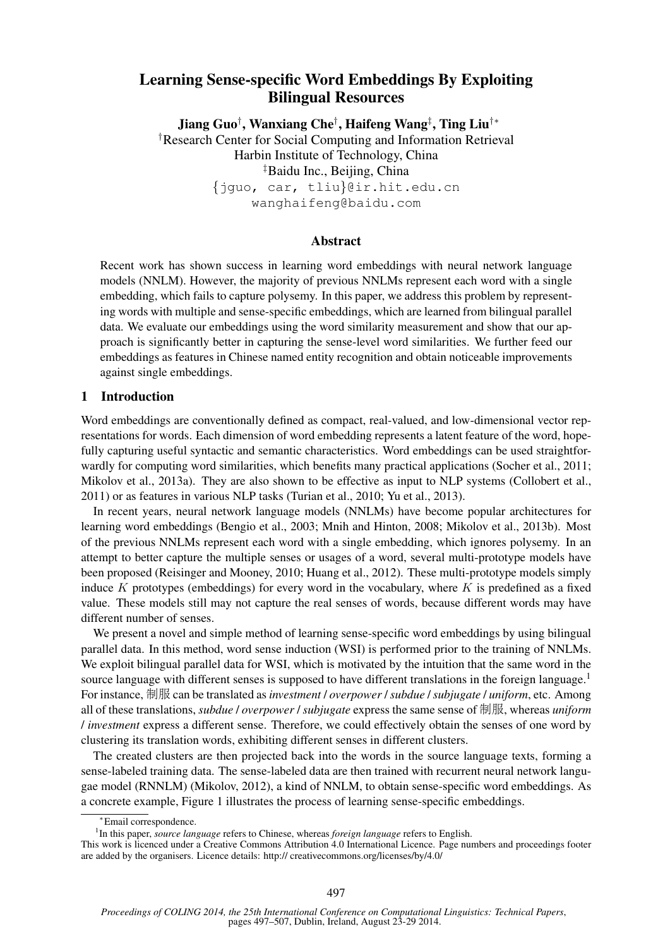# Learning Sense-specific Word Embeddings By Exploiting Bilingual Resources

Jiang Guo† , Wanxiang Che† , Haifeng Wang‡ , Ting Liu†∗ †Research Center for Social Computing and Information Retrieval Harbin Institute of Technology, China ‡Baidu Inc., Beijing, China {jguo, car, tliu}@ir.hit.edu.cn wanghaifeng@baidu.com

# Abstract

Recent work has shown success in learning word embeddings with neural network language models (NNLM). However, the majority of previous NNLMs represent each word with a single embedding, which fails to capture polysemy. In this paper, we address this problem by representing words with multiple and sense-specific embeddings, which are learned from bilingual parallel data. We evaluate our embeddings using the word similarity measurement and show that our approach is significantly better in capturing the sense-level word similarities. We further feed our embeddings as features in Chinese named entity recognition and obtain noticeable improvements against single embeddings.

# 1 Introduction

Word embeddings are conventionally defined as compact, real-valued, and low-dimensional vector representations for words. Each dimension of word embedding represents a latent feature of the word, hopefully capturing useful syntactic and semantic characteristics. Word embeddings can be used straightforwardly for computing word similarities, which benefits many practical applications (Socher et al., 2011; Mikolov et al., 2013a). They are also shown to be effective as input to NLP systems (Collobert et al., 2011) or as features in various NLP tasks (Turian et al., 2010; Yu et al., 2013).

In recent years, neural network language models (NNLMs) have become popular architectures for learning word embeddings (Bengio et al., 2003; Mnih and Hinton, 2008; Mikolov et al., 2013b). Most of the previous NNLMs represent each word with a single embedding, which ignores polysemy. In an attempt to better capture the multiple senses or usages of a word, several multi-prototype models have been proposed (Reisinger and Mooney, 2010; Huang et al., 2012). These multi-prototype models simply induce K prototypes (embeddings) for every word in the vocabulary, where K is predefined as a fixed value. These models still may not capture the real senses of words, because different words may have different number of senses.

We present a novel and simple method of learning sense-specific word embeddings by using bilingual parallel data. In this method, word sense induction (WSI) is performed prior to the training of NNLMs. We exploit bilingual parallel data for WSI, which is motivated by the intuition that the same word in the source language with different senses is supposed to have different translations in the foreign language.<sup>1</sup> For instance, 制服 can be translated as*investment* / *overpower* /*subdue* /*subjugate* / *uniform*, etc. Among all of these translations, *subdue* / *overpower* / *subjugate* express the same sense of 制服, whereas *uniform* / *investment* express a different sense. Therefore, we could effectively obtain the senses of one word by clustering its translation words, exhibiting different senses in different clusters.

The created clusters are then projected back into the words in the source language texts, forming a sense-labeled training data. The sense-labeled data are then trained with recurrent neural network langugae model (RNNLM) (Mikolov, 2012), a kind of NNLM, to obtain sense-specific word embeddings. As a concrete example, Figure 1 illustrates the process of learning sense-specific embeddings.

<sup>∗</sup>Email correspondence.

<sup>&</sup>lt;sup>1</sup>In this paper, *source language* refers to Chinese, whereas *foreign language* refers to English.

This work is licenced under a Creative Commons Attribution 4.0 International Licence. Page numbers and proceedings footer are added by the organisers. Licence details: http:// creativecommons.org/licenses/by/4.0/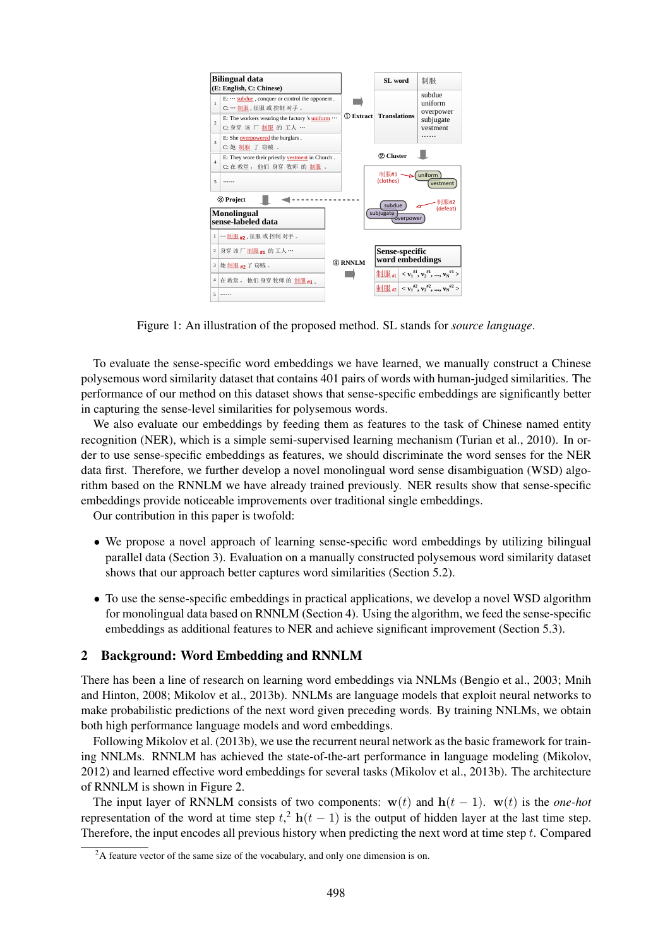

Figure 1: An illustration of the proposed method. SL stands for *source language*.

To evaluate the sense-specific word embeddings we have learned, we manually construct a Chinese polysemous word similarity dataset that contains 401 pairs of words with human-judged similarities. The performance of our method on this dataset shows that sense-specific embeddings are significantly better in capturing the sense-level similarities for polysemous words.

We also evaluate our embeddings by feeding them as features to the task of Chinese named entity recognition (NER), which is a simple semi-supervised learning mechanism (Turian et al., 2010). In order to use sense-specific embeddings as features, we should discriminate the word senses for the NER data first. Therefore, we further develop a novel monolingual word sense disambiguation (WSD) algorithm based on the RNNLM we have already trained previously. NER results show that sense-specific embeddings provide noticeable improvements over traditional single embeddings.

Our contribution in this paper is twofold:

- We propose a novel approach of learning sense-specific word embeddings by utilizing bilingual parallel data (Section 3). Evaluation on a manually constructed polysemous word similarity dataset shows that our approach better captures word similarities (Section 5.2).
- To use the sense-specific embeddings in practical applications, we develop a novel WSD algorithm for monolingual data based on RNNLM (Section 4). Using the algorithm, we feed the sense-specific embeddings as additional features to NER and achieve significant improvement (Section 5.3).

# 2 Background: Word Embedding and RNNLM

There has been a line of research on learning word embeddings via NNLMs (Bengio et al., 2003; Mnih and Hinton, 2008; Mikolov et al., 2013b). NNLMs are language models that exploit neural networks to make probabilistic predictions of the next word given preceding words. By training NNLMs, we obtain both high performance language models and word embeddings.

Following Mikolov et al. (2013b), we use the recurrent neural network as the basic framework for training NNLMs. RNNLM has achieved the state-of-the-art performance in language modeling (Mikolov, 2012) and learned effective word embeddings for several tasks (Mikolov et al., 2013b). The architecture of RNNLM is shown in Figure 2.

The input layer of RNNLM consists of two components:  $w(t)$  and  $h(t - 1)$ .  $w(t)$  is the *one-hot* representation of the word at time step  $t<sup>2</sup>$  h(t – 1) is the output of hidden layer at the last time step. Therefore, the input encodes all previous history when predicting the next word at time step t. Compared

 $2A$  feature vector of the same size of the vocabulary, and only one dimension is on.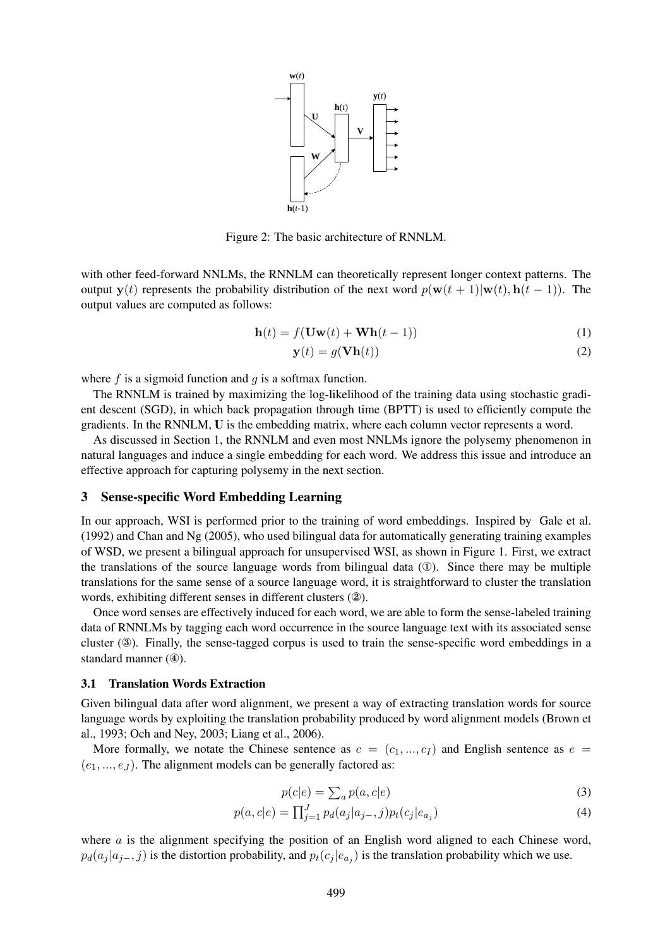

Figure 2: The basic architecture of RNNLM.

with other feed-forward NNLMs, the RNNLM can theoretically represent longer context patterns. The output y(t) represents the probability distribution of the next word  $p(\mathbf{w}(t + 1)|\mathbf{w}(t), \mathbf{h}(t - 1))$ . The output values are computed as follows:

$$
\mathbf{h}(t) = f(\mathbf{U}\mathbf{w}(t) + \mathbf{W}\mathbf{h}(t-1))
$$
\n(1)

$$
\mathbf{y}(t) = g(\mathbf{V}\mathbf{h}(t))\tag{2}
$$

where f is a sigmoid function and  $q$  is a softmax function.

The RNNLM is trained by maximizing the log-likelihood of the training data using stochastic gradient descent (SGD), in which back propagation through time (BPTT) is used to efficiently compute the gradients. In the RNNLM, U is the embedding matrix, where each column vector represents a word.

As discussed in Section 1, the RNNLM and even most NNLMs ignore the polysemy phenomenon in natural languages and induce a single embedding for each word. We address this issue and introduce an effective approach for capturing polysemy in the next section.

#### 3 Sense-specific Word Embedding Learning

In our approach, WSI is performed prior to the training of word embeddings. Inspired by Gale et al. (1992) and Chan and Ng (2005), who used bilingual data for automatically generating training examples of WSD, we present a bilingual approach for unsupervised WSI, as shown in Figure 1. First, we extract the translations of the source language words from bilingual data  $(1)$ . Since there may be multiple translations for the same sense of a source language word, it is straightforward to cluster the translation words, exhibiting different senses in different clusters (②).

Once word senses are effectively induced for each word, we are able to form the sense-labeled training data of RNNLMs by tagging each word occurrence in the source language text with its associated sense cluster (③). Finally, the sense-tagged corpus is used to train the sense-specific word embeddings in a standard manner (④).

#### 3.1 Translation Words Extraction

Given bilingual data after word alignment, we present a way of extracting translation words for source language words by exploiting the translation probability produced by word alignment models (Brown et al., 1993; Och and Ney, 2003; Liang et al., 2006).

More formally, we notate the Chinese sentence as  $c = (c_1, ..., c_l)$  and English sentence as  $e =$  $(e_1, ..., e_J)$ . The alignment models can be generally factored as:

$$
p(c|e) = \sum_{a} p(a, c|e)
$$
 (3)

$$
p(a,c|e) = \prod_{j=1}^{J} p_d(a_j|a_{j-},j)p_t(c_j|e_{a_j})
$$
\n(4)

where  $\alpha$  is the alignment specifying the position of an English word aligned to each Chinese word,  $p_d(a_j | a_{j-}, j)$  is the distortion probability, and  $p_t(c_j | e_{a_j})$  is the translation probability which we use.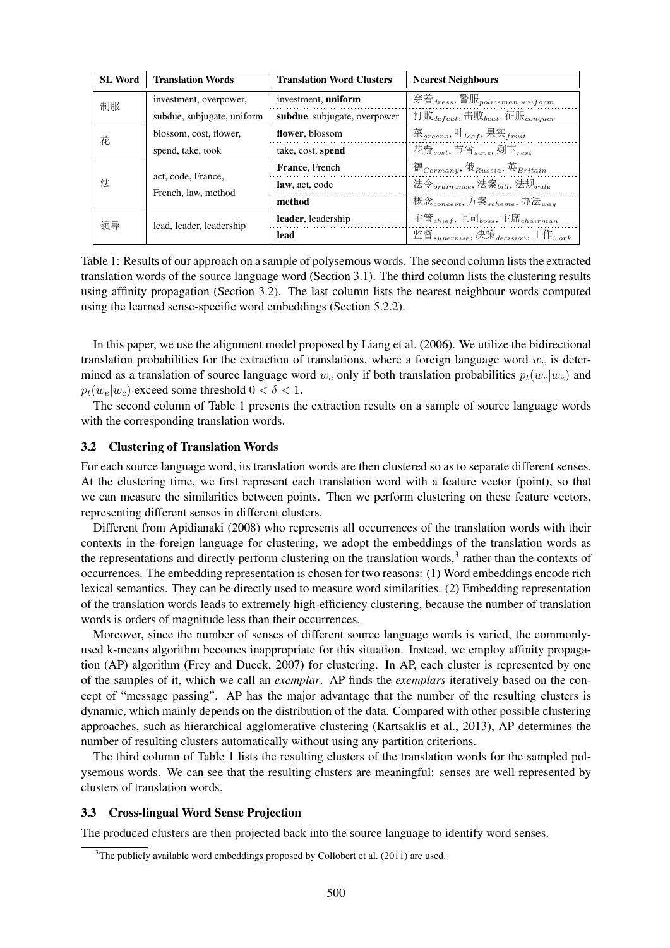| <b>SL Word</b> | <b>Translation Words</b>                  | <b>Translation Word Clusters</b>                             | <b>Nearest Neighbours</b>                                             |
|----------------|-------------------------------------------|--------------------------------------------------------------|-----------------------------------------------------------------------|
| 制服             | investment, overpower,                    | investment, uniform                                          | 穿着 $_{dress}$ , 警服 $_{policeman\ uniform}$                            |
|                | subdue, subjugate, uniform                | subdue, subjugate, overpower                                 | 打败 $_{defeat}$ , 击败 $_{beat}$ , 征服 $_{conquer}$                       |
| 花              | blossom, cost, flower,                    | flower, blossom                                              | 菜 <sub>greens</sub> , 叶 <sub>leaf</sub> , 果实 <sub>fruit</sub>         |
|                | spend, take, took<br>take, cost, spend    | 花费 <sub>cost</sub> , 节省 <sub>save</sub> , 剩下 <sub>rest</sub> |                                                                       |
| 法              | act, code, France,<br>French, law, method | <b>France</b> , French                                       | 德 $_{Germany}, \mathcal{H}_{Russia}, \mathcal{F}_{Britain}$           |
|                |                                           | law, act, code                                               | 法令 <sub>ordinance</sub> , 法案 <sub>bill</sub> , 法规 <sub>rule</sub>     |
|                |                                           | method                                                       | 概念 <sub>concept</sub> , 方案 <sub>scheme</sub> , 办法 <sub>way</sub>      |
| 领导             | lead, leader, leadership                  | leader, leadership                                           | 主管 <sub>chief</sub> , 上司 <sub>boss</sub> , 主席 <sub>chairman</sub>     |
|                |                                           | lead                                                         | 监督 <sub>supervise</sub> , 决策 <sub>decision</sub> , 工作 <sub>work</sub> |

Table 1: Results of our approach on a sample of polysemous words. The second column lists the extracted translation words of the source language word (Section 3.1). The third column lists the clustering results using affinity propagation (Section 3.2). The last column lists the nearest neighbour words computed using the learned sense-specific word embeddings (Section 5.2.2).

In this paper, we use the alignment model proposed by Liang et al. (2006). We utilize the bidirectional translation probabilities for the extraction of translations, where a foreign language word  $w_e$  is determined as a translation of source language word  $w_c$  only if both translation probabilities  $p_t(w_c|w_e)$  and  $p_t(w_e|w_c)$  exceed some threshold  $0 < \delta < 1$ .

The second column of Table 1 presents the extraction results on a sample of source language words with the corresponding translation words.

### 3.2 Clustering of Translation Words

For each source language word, its translation words are then clustered so as to separate different senses. At the clustering time, we first represent each translation word with a feature vector (point), so that we can measure the similarities between points. Then we perform clustering on these feature vectors, representing different senses in different clusters.

Different from Apidianaki (2008) who represents all occurrences of the translation words with their contexts in the foreign language for clustering, we adopt the embeddings of the translation words as the representations and directly perform clustering on the translation words, $3$  rather than the contexts of occurrences. The embedding representation is chosen for two reasons: (1) Word embeddings encode rich lexical semantics. They can be directly used to measure word similarities. (2) Embedding representation of the translation words leads to extremely high-efficiency clustering, because the number of translation words is orders of magnitude less than their occurrences.

Moreover, since the number of senses of different source language words is varied, the commonlyused k-means algorithm becomes inappropriate for this situation. Instead, we employ affinity propagation (AP) algorithm (Frey and Dueck, 2007) for clustering. In AP, each cluster is represented by one of the samples of it, which we call an *exemplar*. AP finds the *exemplars* iteratively based on the concept of "message passing". AP has the major advantage that the number of the resulting clusters is dynamic, which mainly depends on the distribution of the data. Compared with other possible clustering approaches, such as hierarchical agglomerative clustering (Kartsaklis et al., 2013), AP determines the number of resulting clusters automatically without using any partition criterions.

The third column of Table 1 lists the resulting clusters of the translation words for the sampled polysemous words. We can see that the resulting clusters are meaningful: senses are well represented by clusters of translation words.

#### 3.3 Cross-lingual Word Sense Projection

The produced clusters are then projected back into the source language to identify word senses.

<sup>&</sup>lt;sup>3</sup>The publicly available word embeddings proposed by Collobert et al. (2011) are used.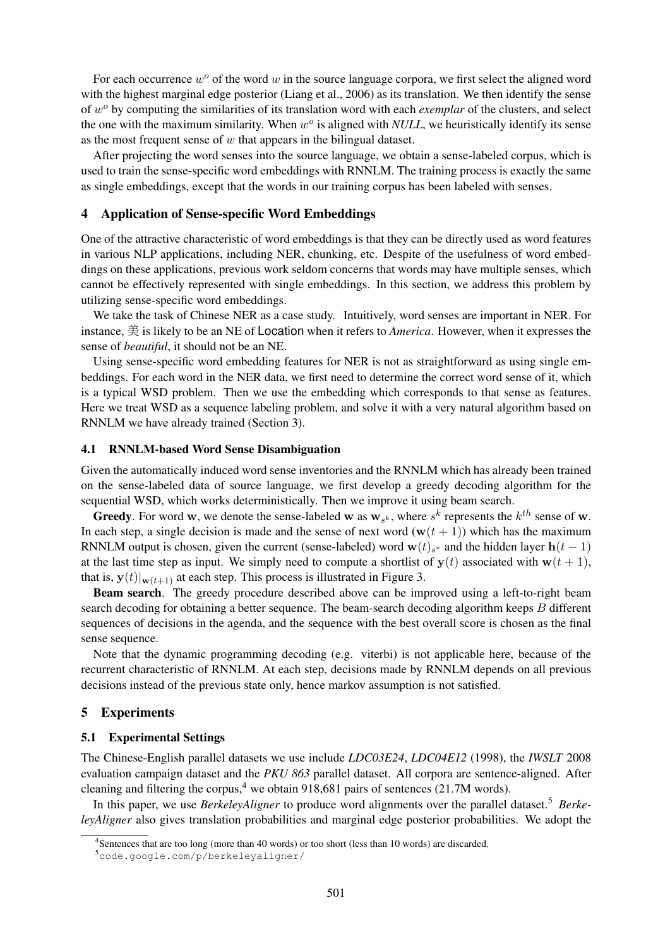For each occurrence  $w^{\circ}$  of the word w in the source language corpora, we first select the aligned word with the highest marginal edge posterior (Liang et al., 2006) as its translation. We then identify the sense of w<sup>o</sup> by computing the similarities of its translation word with each *exemplar* of the clusters, and select the one with the maximum similarity. When  $w^o$  is aligned with *NULL*, we heuristically identify its sense as the most frequent sense of  $w$  that appears in the bilingual dataset.

After projecting the word senses into the source language, we obtain a sense-labeled corpus, which is used to train the sense-specific word embeddings with RNNLM. The training process is exactly the same as single embeddings, except that the words in our training corpus has been labeled with senses.

### 4 Application of Sense-specific Word Embeddings

One of the attractive characteristic of word embeddings is that they can be directly used as word features in various NLP applications, including NER, chunking, etc. Despite of the usefulness of word embeddings on these applications, previous work seldom concerns that words may have multiple senses, which cannot be effectively represented with single embeddings. In this section, we address this problem by utilizing sense-specific word embeddings.

We take the task of Chinese NER as a case study. Intuitively, word senses are important in NER. For instance, 美 is likely to be an NE of Location when it refers to *America*. However, when it expresses the sense of *beautiful*, it should not be an NE.

Using sense-specific word embedding features for NER is not as straightforward as using single embeddings. For each word in the NER data, we first need to determine the correct word sense of it, which is a typical WSD problem. Then we use the embedding which corresponds to that sense as features. Here we treat WSD as a sequence labeling problem, and solve it with a very natural algorithm based on RNNLM we have already trained (Section 3).

#### 4.1 RNNLM-based Word Sense Disambiguation

Given the automatically induced word sense inventories and the RNNLM which has already been trained on the sense-labeled data of source language, we first develop a greedy decoding algorithm for the sequential WSD, which works deterministically. Then we improve it using beam search.

**Greedy**. For word **w**, we denote the sense-labeled **w** as  $w_{s^k}$ , where  $s^k$  represents the  $k^{th}$  sense of **w**. In each step, a single decision is made and the sense of next word  $(w(t + 1))$  which has the maximum RNNLM output is chosen, given the current (sense-labeled) word  $\mathbf{w}(t)_{s^*}$  and the hidden layer  $\mathbf{h}(t-1)$ at the last time step as input. We simply need to compute a shortlist of  $y(t)$  associated with  $w(t + 1)$ , that is,  $y(t)|_{w(t+1)}$  at each step. This process is illustrated in Figure 3.

Beam search. The greedy procedure described above can be improved using a left-to-right beam search decoding for obtaining a better sequence. The beam-search decoding algorithm keeps B different sequences of decisions in the agenda, and the sequence with the best overall score is chosen as the final sense sequence.

Note that the dynamic programming decoding (e.g. viterbi) is not applicable here, because of the recurrent characteristic of RNNLM. At each step, decisions made by RNNLM depends on all previous decisions instead of the previous state only, hence markov assumption is not satisfied.

### 5 Experiments

#### 5.1 Experimental Settings

The Chinese-English parallel datasets we use include *LDC03E24*, *LDC04E12* (1998), the *IWSLT* 2008 evaluation campaign dataset and the *PKU 863* parallel dataset. All corpora are sentence-aligned. After cleaning and filtering the corpus,<sup>4</sup> we obtain 918,681 pairs of sentences (21.7M words).

In this paper, we use *BerkeleyAligner* to produce word alignments over the parallel dataset.<sup>5</sup> *BerkeleyAligner* also gives translation probabilities and marginal edge posterior probabilities. We adopt the

<sup>&</sup>lt;sup>4</sup>Sentences that are too long (more than 40 words) or too short (less than 10 words) are discarded.

<sup>5</sup>code.google.com/p/berkeleyaligner/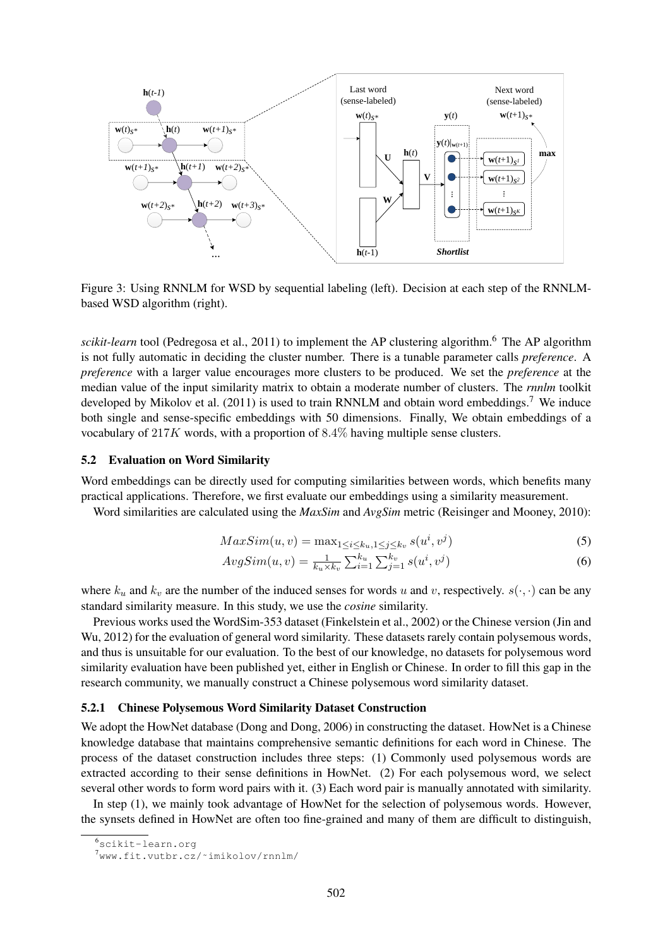

Figure 3: Using RNNLM for WSD by sequential labeling (left). Decision at each step of the RNNLMbased WSD algorithm (right).

*scikit-learn* tool (Pedregosa et al., 2011) to implement the AP clustering algorithm.<sup>6</sup> The AP algorithm is not fully automatic in deciding the cluster number. There is a tunable parameter calls *preference*. A *preference* with a larger value encourages more clusters to be produced. We set the *preference* at the median value of the input similarity matrix to obtain a moderate number of clusters. The *rnnlm* toolkit developed by Mikolov et al. (2011) is used to train RNNLM and obtain word embeddings.<sup>7</sup> We induce both single and sense-specific embeddings with 50 dimensions. Finally, We obtain embeddings of a vocabulary of 217K words, with a proportion of 8.4% having multiple sense clusters.

### 5.2 Evaluation on Word Similarity

Word embeddings can be directly used for computing similarities between words, which benefits many practical applications. Therefore, we first evaluate our embeddings using a similarity measurement.

Word similarities are calculated using the *MaxSim* and *AvgSim* metric (Reisinger and Mooney, 2010):

$$
MaxSim(u, v) = \max_{1 \le i \le k_u, 1 \le j \le k_v} s(u^i, v^j)
$$
\n
$$
(5)
$$

$$
AvgSim(u, v) = \frac{1}{k_u \times k_v} \sum_{i=1}^{k_u} \sum_{j=1}^{k_v} s(u^i, v^j)
$$
(6)

where  $k_u$  and  $k_v$  are the number of the induced senses for words u and v, respectively.  $s(\cdot, \cdot)$  can be any standard similarity measure. In this study, we use the *cosine* similarity.

Previous works used the WordSim-353 dataset (Finkelstein et al., 2002) or the Chinese version (Jin and Wu, 2012) for the evaluation of general word similarity. These datasets rarely contain polysemous words, and thus is unsuitable for our evaluation. To the best of our knowledge, no datasets for polysemous word similarity evaluation have been published yet, either in English or Chinese. In order to fill this gap in the research community, we manually construct a Chinese polysemous word similarity dataset.

### 5.2.1 Chinese Polysemous Word Similarity Dataset Construction

We adopt the HowNet database (Dong and Dong, 2006) in constructing the dataset. HowNet is a Chinese knowledge database that maintains comprehensive semantic definitions for each word in Chinese. The process of the dataset construction includes three steps: (1) Commonly used polysemous words are extracted according to their sense definitions in HowNet. (2) For each polysemous word, we select several other words to form word pairs with it. (3) Each word pair is manually annotated with similarity.

In step (1), we mainly took advantage of HowNet for the selection of polysemous words. However, the synsets defined in HowNet are often too fine-grained and many of them are difficult to distinguish,

<sup>6</sup>scikit-learn.org

<sup>7</sup>www.fit.vutbr.cz/˜imikolov/rnnlm/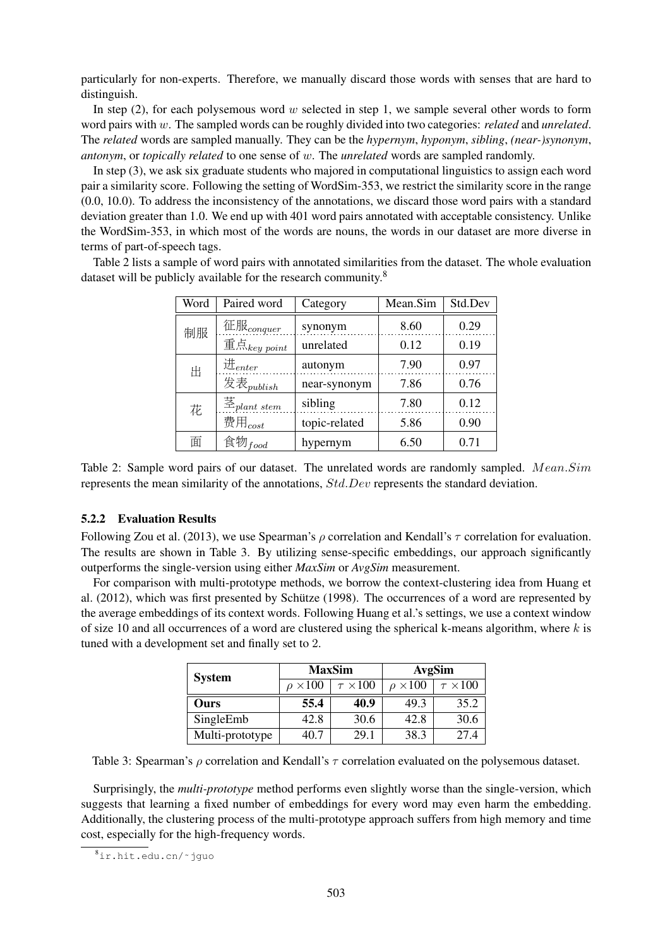particularly for non-experts. Therefore, we manually discard those words with senses that are hard to distinguish.

In step  $(2)$ , for each polysemous word w selected in step 1, we sample several other words to form word pairs with w. The sampled words can be roughly divided into two categories: *related* and *unrelated*. The *related* words are sampled manually. They can be the *hypernym*, *hyponym*, *sibling*, *(near-)synonym*, *antonym*, or *topically related* to one sense of w. The *unrelated* words are sampled randomly.

In step (3), we ask six graduate students who majored in computational linguistics to assign each word pair a similarity score. Following the setting of WordSim-353, we restrict the similarity score in the range (0.0, 10.0). To address the inconsistency of the annotations, we discard those word pairs with a standard deviation greater than 1.0. We end up with 401 word pairs annotated with acceptable consistency. Unlike the WordSim-353, in which most of the words are nouns, the words in our dataset are more diverse in terms of part-of-speech tags.

Table 2 lists a sample of word pairs with annotated similarities from the dataset. The whole evaluation dataset will be publicly available for the research community.<sup>8</sup>

| Word | Paired word                | Category      | Mean.Sim | Std.Dev |
|------|----------------------------|---------------|----------|---------|
| 制服   | 征服 $_{conquer}$            | synonym       | 8.60     | 0.29    |
|      | 重点 $_{key\,point}$         | unrelated     | 0.12     | 0.19    |
| 出    | $\mathcal{H}_{enter}$      | autonym       | 7.90     | 0.97    |
|      | 发表 $_{\text{publish}}$     | near-synonym  | 7.86     | 0.76    |
| 花    | $\ddot{\Xi}_{plant\ stem}$ | sibling       | 7.80     | 0.12    |
|      | 费用 $_{cost}$               | topic-related | 5.86     | 0.90    |
| 面    | 食物 $_{food}$               | hypernym      | 6.50     | 0.71    |
|      |                            |               |          |         |

Table 2: Sample word pairs of our dataset. The unrelated words are randomly sampled. Mean.Sim represents the mean similarity of the annotations, Std.Dev represents the standard deviation.

### 5.2.2 Evaluation Results

Following Zou et al. (2013), we use Spearman's  $\rho$  correlation and Kendall's  $\tau$  correlation for evaluation. The results are shown in Table 3. By utilizing sense-specific embeddings, our approach significantly outperforms the single-version using either *MaxSim* or *AvgSim* measurement.

For comparison with multi-prototype methods, we borrow the context-clustering idea from Huang et al.  $(2012)$ , which was first presented by Schütze  $(1998)$ . The occurrences of a word are represented by the average embeddings of its context words. Following Huang et al.'s settings, we use a context window of size 10 and all occurrences of a word are clustered using the spherical k-means algorithm, where  $k$  is tuned with a development set and finally set to 2.

| <b>System</b>   | <b>MaxSim</b>     |                   | AvgSim            |                   |
|-----------------|-------------------|-------------------|-------------------|-------------------|
|                 | $\rho \times 100$ | $\tau \times 100$ | $\rho \times 100$ | $\tau \times 100$ |
| Ours            | 55.4              | 40.9              | 49.3              | 35.2              |
| SingleEmb       | 42.8              | 30.6              | 42.8              | 30.6              |
| Multi-prototype | 40.7              | 29.1              | 38.3              | 27.4              |

Table 3: Spearman's  $\rho$  correlation and Kendall's  $\tau$  correlation evaluated on the polysemous dataset.

Surprisingly, the *multi-prototype* method performs even slightly worse than the single-version, which suggests that learning a fixed number of embeddings for every word may even harm the embedding. Additionally, the clustering process of the multi-prototype approach suffers from high memory and time cost, especially for the high-frequency words.

<sup>8</sup>ir.hit.edu.cn/˜jguo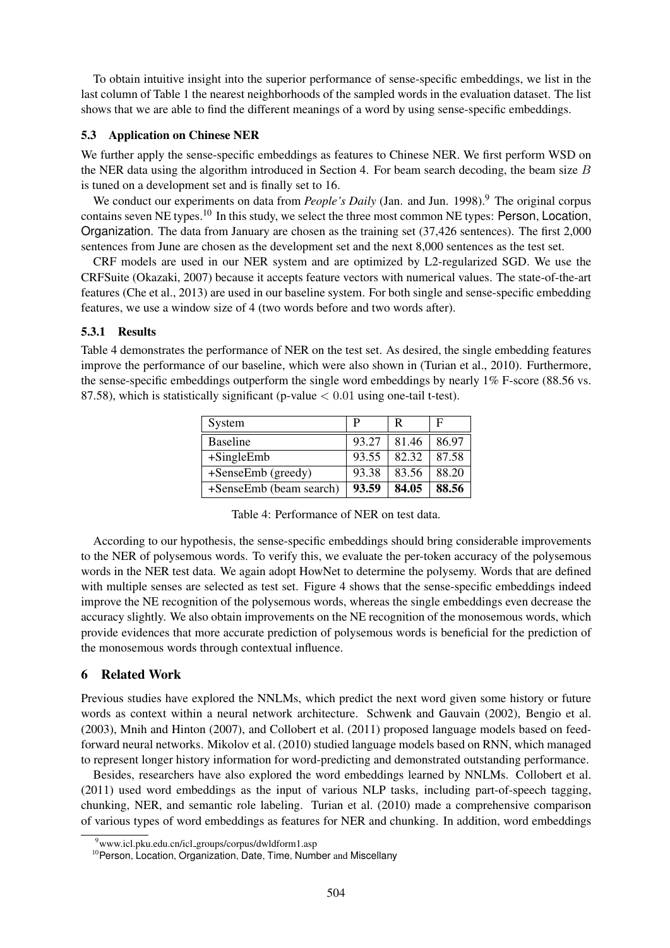To obtain intuitive insight into the superior performance of sense-specific embeddings, we list in the last column of Table 1 the nearest neighborhoods of the sampled words in the evaluation dataset. The list shows that we are able to find the different meanings of a word by using sense-specific embeddings.

# 5.3 Application on Chinese NER

We further apply the sense-specific embeddings as features to Chinese NER. We first perform WSD on the NER data using the algorithm introduced in Section 4. For beam search decoding, the beam size  $B$ is tuned on a development set and is finally set to 16.

We conduct our experiments on data from *People's Daily* (Jan. and Jun. 1998).<sup>9</sup> The original corpus contains seven NE types.<sup>10</sup> In this study, we select the three most common NE types: Person, Location, Organization. The data from January are chosen as the training set (37,426 sentences). The first 2,000 sentences from June are chosen as the development set and the next 8,000 sentences as the test set.

CRF models are used in our NER system and are optimized by L2-regularized SGD. We use the CRFSuite (Okazaki, 2007) because it accepts feature vectors with numerical values. The state-of-the-art features (Che et al., 2013) are used in our baseline system. For both single and sense-specific embedding features, we use a window size of 4 (two words before and two words after).

# 5.3.1 Results

Table 4 demonstrates the performance of NER on the test set. As desired, the single embedding features improve the performance of our baseline, which were also shown in (Turian et al., 2010). Furthermore, the sense-specific embeddings outperform the single word embeddings by nearly 1% F-score (88.56 vs. 87.58), which is statistically significant (p-value  $< 0.01$  using one-tail t-test).

| System                  |       | R     | F     |
|-------------------------|-------|-------|-------|
| <b>Baseline</b>         | 93.27 | 81.46 | 86.97 |
| $+$ SingleEmb           | 93.55 | 82.32 | 87.58 |
| +SenseEmb (greedy)      | 93.38 | 83.56 | 88.20 |
| +SenseEmb (beam search) | 93.59 | 84.05 | 88.56 |

| Table 4: Performance of NER on test data. |  |
|-------------------------------------------|--|
|-------------------------------------------|--|

According to our hypothesis, the sense-specific embeddings should bring considerable improvements to the NER of polysemous words. To verify this, we evaluate the per-token accuracy of the polysemous words in the NER test data. We again adopt HowNet to determine the polysemy. Words that are defined with multiple senses are selected as test set. Figure 4 shows that the sense-specific embeddings indeed improve the NE recognition of the polysemous words, whereas the single embeddings even decrease the accuracy slightly. We also obtain improvements on the NE recognition of the monosemous words, which provide evidences that more accurate prediction of polysemous words is beneficial for the prediction of the monosemous words through contextual influence.

# 6 Related Work

Previous studies have explored the NNLMs, which predict the next word given some history or future words as context within a neural network architecture. Schwenk and Gauvain (2002), Bengio et al. (2003), Mnih and Hinton (2007), and Collobert et al. (2011) proposed language models based on feedforward neural networks. Mikolov et al. (2010) studied language models based on RNN, which managed to represent longer history information for word-predicting and demonstrated outstanding performance.

Besides, researchers have also explored the word embeddings learned by NNLMs. Collobert et al. (2011) used word embeddings as the input of various NLP tasks, including part-of-speech tagging, chunking, NER, and semantic role labeling. Turian et al. (2010) made a comprehensive comparison of various types of word embeddings as features for NER and chunking. In addition, word embeddings

<sup>9</sup>www.icl.pku.edu.cn/icl groups/corpus/dwldform1.asp

<sup>&</sup>lt;sup>10</sup> Person, Location, Organization, Date, Time, Number and Miscellany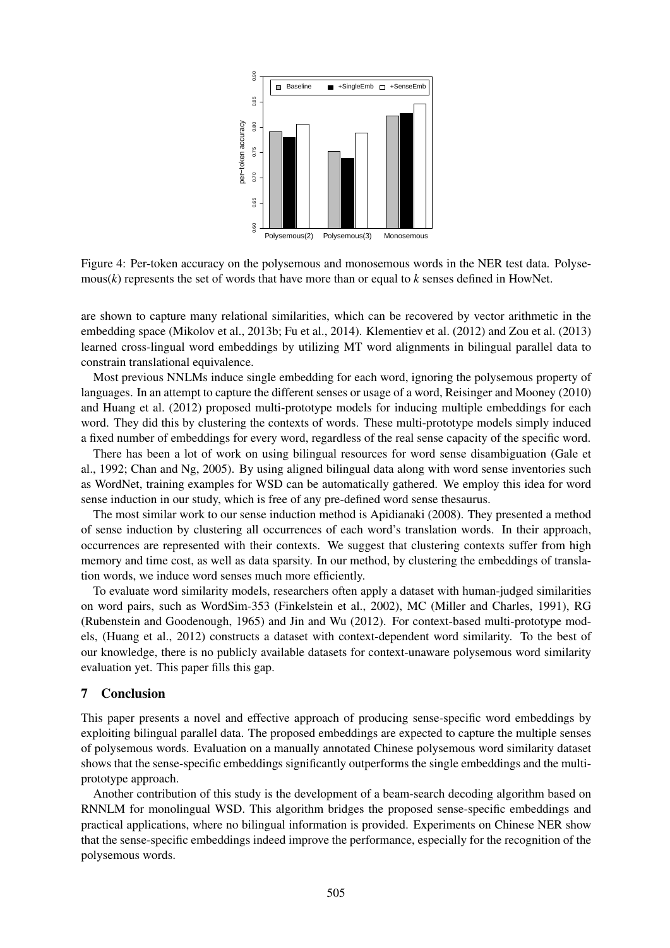

Figure 4: Per-token accuracy on the polysemous and monosemous words in the NER test data. Polysemous(*k*) represents the set of words that have more than or equal to *k* senses defined in HowNet.

are shown to capture many relational similarities, which can be recovered by vector arithmetic in the embedding space (Mikolov et al., 2013b; Fu et al., 2014). Klementiev et al. (2012) and Zou et al. (2013) learned cross-lingual word embeddings by utilizing MT word alignments in bilingual parallel data to constrain translational equivalence.

Most previous NNLMs induce single embedding for each word, ignoring the polysemous property of languages. In an attempt to capture the different senses or usage of a word, Reisinger and Mooney (2010) and Huang et al. (2012) proposed multi-prototype models for inducing multiple embeddings for each word. They did this by clustering the contexts of words. These multi-prototype models simply induced a fixed number of embeddings for every word, regardless of the real sense capacity of the specific word.

There has been a lot of work on using bilingual resources for word sense disambiguation (Gale et al., 1992; Chan and Ng, 2005). By using aligned bilingual data along with word sense inventories such as WordNet, training examples for WSD can be automatically gathered. We employ this idea for word sense induction in our study, which is free of any pre-defined word sense thesaurus.

The most similar work to our sense induction method is Apidianaki (2008). They presented a method of sense induction by clustering all occurrences of each word's translation words. In their approach, occurrences are represented with their contexts. We suggest that clustering contexts suffer from high memory and time cost, as well as data sparsity. In our method, by clustering the embeddings of translation words, we induce word senses much more efficiently.

To evaluate word similarity models, researchers often apply a dataset with human-judged similarities on word pairs, such as WordSim-353 (Finkelstein et al., 2002), MC (Miller and Charles, 1991), RG (Rubenstein and Goodenough, 1965) and Jin and Wu (2012). For context-based multi-prototype models, (Huang et al., 2012) constructs a dataset with context-dependent word similarity. To the best of our knowledge, there is no publicly available datasets for context-unaware polysemous word similarity evaluation yet. This paper fills this gap.

# 7 Conclusion

This paper presents a novel and effective approach of producing sense-specific word embeddings by exploiting bilingual parallel data. The proposed embeddings are expected to capture the multiple senses of polysemous words. Evaluation on a manually annotated Chinese polysemous word similarity dataset shows that the sense-specific embeddings significantly outperforms the single embeddings and the multiprototype approach.

Another contribution of this study is the development of a beam-search decoding algorithm based on RNNLM for monolingual WSD. This algorithm bridges the proposed sense-specific embeddings and practical applications, where no bilingual information is provided. Experiments on Chinese NER show that the sense-specific embeddings indeed improve the performance, especially for the recognition of the polysemous words.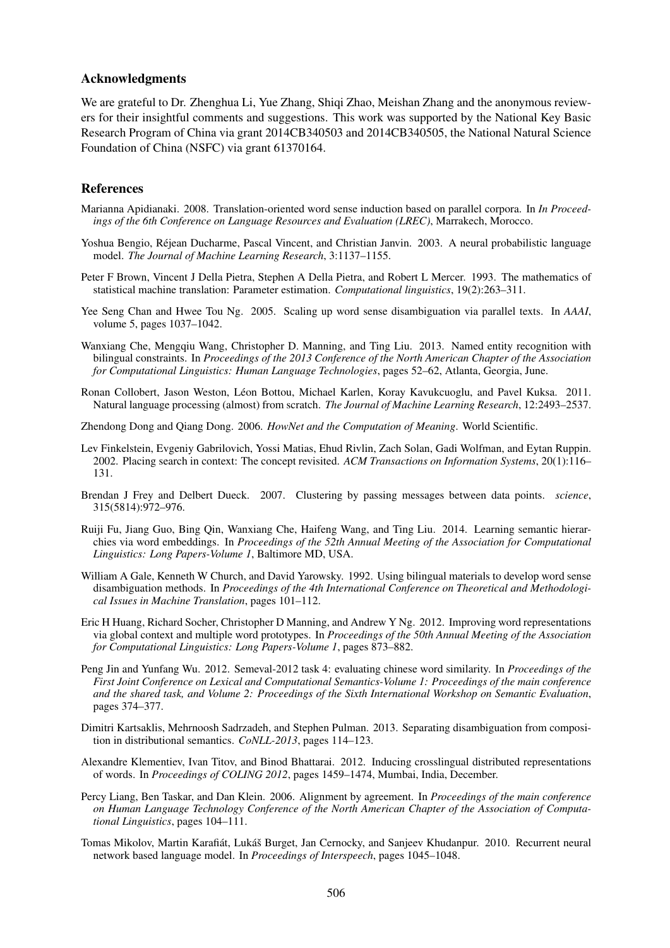### Acknowledgments

We are grateful to Dr. Zhenghua Li, Yue Zhang, Shiqi Zhao, Meishan Zhang and the anonymous reviewers for their insightful comments and suggestions. This work was supported by the National Key Basic Research Program of China via grant 2014CB340503 and 2014CB340505, the National Natural Science Foundation of China (NSFC) via grant 61370164.

### References

- Marianna Apidianaki. 2008. Translation-oriented word sense induction based on parallel corpora. In *In Proceedings of the 6th Conference on Language Resources and Evaluation (LREC)*, Marrakech, Morocco.
- Yoshua Bengio, Rejean Ducharme, Pascal Vincent, and Christian Janvin. 2003. A neural probabilistic language ´ model. *The Journal of Machine Learning Research*, 3:1137–1155.
- Peter F Brown, Vincent J Della Pietra, Stephen A Della Pietra, and Robert L Mercer. 1993. The mathematics of statistical machine translation: Parameter estimation. *Computational linguistics*, 19(2):263–311.
- Yee Seng Chan and Hwee Tou Ng. 2005. Scaling up word sense disambiguation via parallel texts. In *AAAI*, volume 5, pages 1037–1042.
- Wanxiang Che, Mengqiu Wang, Christopher D. Manning, and Ting Liu. 2013. Named entity recognition with bilingual constraints. In *Proceedings of the 2013 Conference of the North American Chapter of the Association for Computational Linguistics: Human Language Technologies*, pages 52–62, Atlanta, Georgia, June.
- Ronan Collobert, Jason Weston, Leon Bottou, Michael Karlen, Koray Kavukcuoglu, and Pavel Kuksa. 2011. ´ Natural language processing (almost) from scratch. *The Journal of Machine Learning Research*, 12:2493–2537.
- Zhendong Dong and Qiang Dong. 2006. *HowNet and the Computation of Meaning*. World Scientific.
- Lev Finkelstein, Evgeniy Gabrilovich, Yossi Matias, Ehud Rivlin, Zach Solan, Gadi Wolfman, and Eytan Ruppin. 2002. Placing search in context: The concept revisited. *ACM Transactions on Information Systems*, 20(1):116– 131.
- Brendan J Frey and Delbert Dueck. 2007. Clustering by passing messages between data points. *science*, 315(5814):972–976.
- Ruiji Fu, Jiang Guo, Bing Qin, Wanxiang Che, Haifeng Wang, and Ting Liu. 2014. Learning semantic hierarchies via word embeddings. In *Proceedings of the 52th Annual Meeting of the Association for Computational Linguistics: Long Papers-Volume 1*, Baltimore MD, USA.
- William A Gale, Kenneth W Church, and David Yarowsky. 1992. Using bilingual materials to develop word sense disambiguation methods. In *Proceedings of the 4th International Conference on Theoretical and Methodological Issues in Machine Translation*, pages 101–112.
- Eric H Huang, Richard Socher, Christopher D Manning, and Andrew Y Ng. 2012. Improving word representations via global context and multiple word prototypes. In *Proceedings of the 50th Annual Meeting of the Association for Computational Linguistics: Long Papers-Volume 1*, pages 873–882.
- Peng Jin and Yunfang Wu. 2012. Semeval-2012 task 4: evaluating chinese word similarity. In *Proceedings of the First Joint Conference on Lexical and Computational Semantics-Volume 1: Proceedings of the main conference and the shared task, and Volume 2: Proceedings of the Sixth International Workshop on Semantic Evaluation*, pages 374–377.
- Dimitri Kartsaklis, Mehrnoosh Sadrzadeh, and Stephen Pulman. 2013. Separating disambiguation from composition in distributional semantics. *CoNLL-2013*, pages 114–123.
- Alexandre Klementiev, Ivan Titov, and Binod Bhattarai. 2012. Inducing crosslingual distributed representations of words. In *Proceedings of COLING 2012*, pages 1459–1474, Mumbai, India, December.
- Percy Liang, Ben Taskar, and Dan Klein. 2006. Alignment by agreement. In *Proceedings of the main conference on Human Language Technology Conference of the North American Chapter of the Association of Computational Linguistics*, pages 104–111.
- Tomas Mikolov, Martin Karafiát, Lukáš Burget, Jan Cernocky, and Sanjeev Khudanpur. 2010. Recurrent neural network based language model. In *Proceedings of Interspeech*, pages 1045–1048.